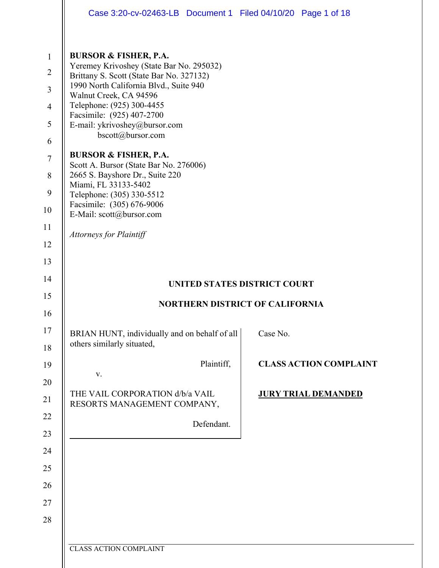|                                                                                                        | Case 3:20-cv-02463-LB  Document 1  Filed 04/10/20  Page 1 of 18                                                                                                                                                                                                                                                                                                                                                                                                                                                                             |          |                               |
|--------------------------------------------------------------------------------------------------------|---------------------------------------------------------------------------------------------------------------------------------------------------------------------------------------------------------------------------------------------------------------------------------------------------------------------------------------------------------------------------------------------------------------------------------------------------------------------------------------------------------------------------------------------|----------|-------------------------------|
| $\mathbf{1}$<br>$\overline{2}$<br>$\mathfrak{Z}$<br>$\overline{4}$<br>5<br>6<br>$\tau$<br>8<br>9<br>10 | <b>BURSOR &amp; FISHER, P.A.</b><br>Yeremey Krivoshey (State Bar No. 295032)<br>Brittany S. Scott (State Bar No. 327132)<br>1990 North California Blvd., Suite 940<br>Walnut Creek, CA 94596<br>Telephone: (925) 300-4455<br>Facsimile: (925) 407-2700<br>E-mail: ykrivoshey@bursor.com<br>bscott@bursor.com<br><b>BURSOR &amp; FISHER, P.A.</b><br>Scott A. Bursor (State Bar No. 276006)<br>2665 S. Bayshore Dr., Suite 220<br>Miami, FL 33133-5402<br>Telephone: (305) 330-5512<br>Facsimile: (305) 676-9006<br>E-Mail: scott@bursor.com |          |                               |
| 11                                                                                                     |                                                                                                                                                                                                                                                                                                                                                                                                                                                                                                                                             |          |                               |
| 12                                                                                                     | <b>Attorneys for Plaintiff</b>                                                                                                                                                                                                                                                                                                                                                                                                                                                                                                              |          |                               |
| 13                                                                                                     |                                                                                                                                                                                                                                                                                                                                                                                                                                                                                                                                             |          |                               |
| 14                                                                                                     | UNITED STATES DISTRICT COURT                                                                                                                                                                                                                                                                                                                                                                                                                                                                                                                |          |                               |
| 15                                                                                                     | <b>NORTHERN DISTRICT OF CALIFORNIA</b>                                                                                                                                                                                                                                                                                                                                                                                                                                                                                                      |          |                               |
| 16                                                                                                     |                                                                                                                                                                                                                                                                                                                                                                                                                                                                                                                                             |          |                               |
| 17<br>18                                                                                               | BRIAN HUNT, individually and on behalf of all<br>others similarly situated,                                                                                                                                                                                                                                                                                                                                                                                                                                                                 | Case No. |                               |
|                                                                                                        |                                                                                                                                                                                                                                                                                                                                                                                                                                                                                                                                             |          |                               |
| 19                                                                                                     | Plaintiff,                                                                                                                                                                                                                                                                                                                                                                                                                                                                                                                                  |          | <b>CLASS ACTION COMPLAINT</b> |
| 20                                                                                                     | $\mathbf{V}$ .                                                                                                                                                                                                                                                                                                                                                                                                                                                                                                                              |          |                               |
| 21                                                                                                     | THE VAIL CORPORATION d/b/a VAIL                                                                                                                                                                                                                                                                                                                                                                                                                                                                                                             |          | <b>JURY TRIAL DEMANDED</b>    |
| 22                                                                                                     | RESORTS MANAGEMENT COMPANY,                                                                                                                                                                                                                                                                                                                                                                                                                                                                                                                 |          |                               |
| 23                                                                                                     | Defendant.                                                                                                                                                                                                                                                                                                                                                                                                                                                                                                                                  |          |                               |
| 24                                                                                                     |                                                                                                                                                                                                                                                                                                                                                                                                                                                                                                                                             |          |                               |
| 25                                                                                                     |                                                                                                                                                                                                                                                                                                                                                                                                                                                                                                                                             |          |                               |
| 26                                                                                                     |                                                                                                                                                                                                                                                                                                                                                                                                                                                                                                                                             |          |                               |
| 27                                                                                                     |                                                                                                                                                                                                                                                                                                                                                                                                                                                                                                                                             |          |                               |
| 28                                                                                                     |                                                                                                                                                                                                                                                                                                                                                                                                                                                                                                                                             |          |                               |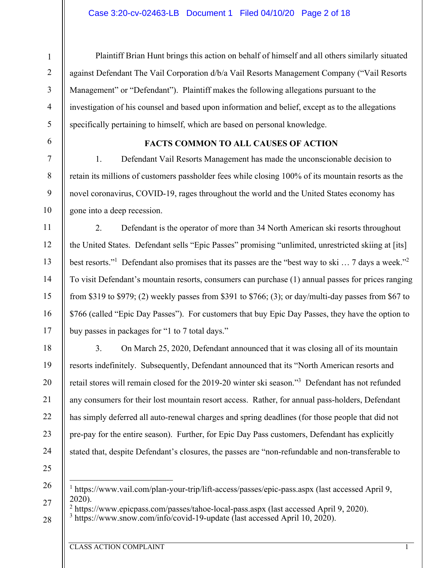#### Case 3:20-cv-02463-LB Document 1 Filed 04/10/20 Page 2 of 18

Management" or "Defendant"). Plaintiff makes the following allegations pursuant to the

specifically pertaining to himself, which are based on personal knowledge.

1

6

7

8

9

10

11

12

13

14

15

16

17

18

19

20

21

22

23

24

#### **FACTS COMMON TO ALL CAUSES OF ACTION**

against Defendant The Vail Corporation d/b/a Vail Resorts Management Company ("Vail Resorts

investigation of his counsel and based upon information and belief, except as to the allegations

Plaintiff Brian Hunt brings this action on behalf of himself and all others similarly situated

1. Defendant Vail Resorts Management has made the unconscionable decision to retain its millions of customers passholder fees while closing 100% of its mountain resorts as the novel coronavirus, COVID-19, rages throughout the world and the United States economy has gone into a deep recession.

2. Defendant is the operator of more than 34 North American ski resorts throughout the United States. Defendant sells "Epic Passes" promising "unlimited, unrestricted skiing at [its] best resorts."<sup>1</sup> Defendant also promises that its passes are the "best way to ski ... 7 days a week."<sup>2</sup> To visit Defendant's mountain resorts, consumers can purchase (1) annual passes for prices ranging from \$319 to \$979; (2) weekly passes from \$391 to \$766; (3); or day/multi-day passes from \$67 to \$766 (called "Epic Day Passes"). For customers that buy Epic Day Passes, they have the option to buy passes in packages for "1 to 7 total days."

3. On March 25, 2020, Defendant announced that it was closing all of its mountain resorts indefinitely. Subsequently, Defendant announced that its "North American resorts and retail stores will remain closed for the 2019-20 winter ski season."3 Defendant has not refunded any consumers for their lost mountain resort access. Rather, for annual pass-holders, Defendant has simply deferred all auto-renewal charges and spring deadlines (for those people that did not pre-pay for the entire season). Further, for Epic Day Pass customers, Defendant has explicitly stated that, despite Defendant's closures, the passes are "non-refundable and non-transferable to

<sup>25</sup> 

<sup>26</sup> 

<sup>&</sup>lt;sup>1</sup> https://www.vail.com/plan-your-trip/lift-access/passes/epic-pass.aspx (last accessed April 9, 2020).

<sup>&</sup>lt;sup>2</sup> https://www.epicpass.com/passes/tahoe-local-pass.aspx (last accessed April 9, 2020).<br><sup>3</sup> https://www.spow.com/info/covid-19-undate (last accessed April 10, 2020).

<sup>28</sup>   $3 \text{ https://www.snow.com/info/covid-19-update}$  (last accessed April 10, 2020).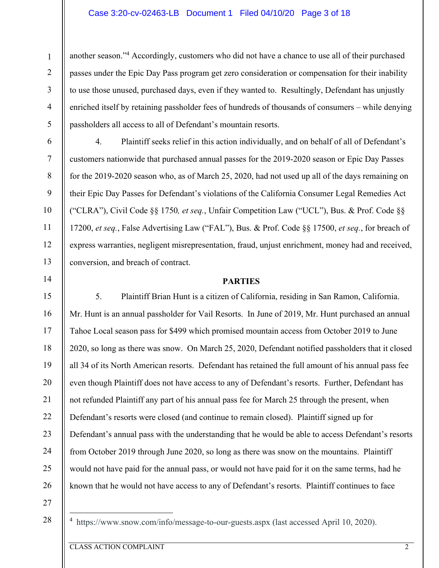#### Case 3:20-cv-02463-LB Document 1 Filed 04/10/20 Page 3 of 18

another season."<sup>4</sup> Accordingly, customers who did not have a chance to use all of their purchased passes under the Epic Day Pass program get zero consideration or compensation for their inability to use those unused, purchased days, even if they wanted to. Resultingly, Defendant has unjustly enriched itself by retaining passholder fees of hundreds of thousands of consumers – while denying passholders all access to all of Defendant's mountain resorts.

4. Plaintiff seeks relief in this action individually, and on behalf of all of Defendant's customers nationwide that purchased annual passes for the 2019-2020 season or Epic Day Passes for the 2019-2020 season who, as of March 25, 2020, had not used up all of the days remaining on their Epic Day Passes for Defendant's violations of the California Consumer Legal Remedies Act ("CLRA"), Civil Code §§ 1750*, et seq.*, Unfair Competition Law ("UCL"), Bus. & Prof. Code §§ 17200, *et seq.*, False Advertising Law ("FAL"), Bus. & Prof. Code §§ 17500, *et seq.*, for breach of express warranties, negligent misrepresentation, fraud, unjust enrichment, money had and received, conversion, and breach of contract.

#### **PARTIES**

5. Plaintiff Brian Hunt is a citizen of California, residing in San Ramon, California. Mr. Hunt is an annual passholder for Vail Resorts. In June of 2019, Mr. Hunt purchased an annual Tahoe Local season pass for \$499 which promised mountain access from October 2019 to June 2020, so long as there was snow. On March 25, 2020, Defendant notified passholders that it closed all 34 of its North American resorts. Defendant has retained the full amount of his annual pass fee even though Plaintiff does not have access to any of Defendant's resorts. Further, Defendant has not refunded Plaintiff any part of his annual pass fee for March 25 through the present, when Defendant's resorts were closed (and continue to remain closed). Plaintiff signed up for Defendant's annual pass with the understanding that he would be able to access Defendant's resorts from October 2019 through June 2020, so long as there was snow on the mountains. Plaintiff would not have paid for the annual pass, or would not have paid for it on the same terms, had he known that he would not have access to any of Defendant's resorts. Plaintiff continues to face

27

28

1

2

3

4

5

6

7

8

9

10

11

12

13

14

15

16

17

18

19

20

21

22

23

24

25

26

<sup>4</sup> https://www.snow.com/info/message-to-our-guests.aspx (last accessed April 10, 2020).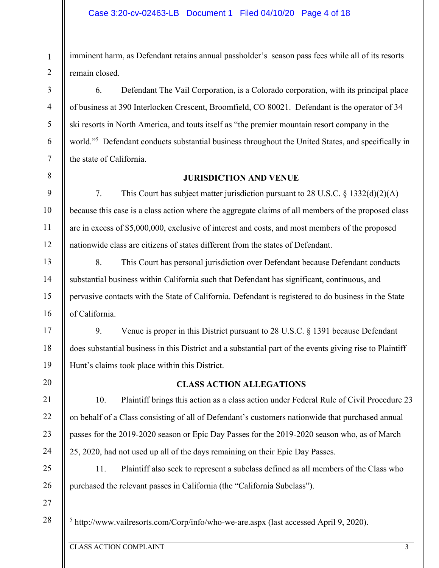imminent harm, as Defendant retains annual passholder's season pass fees while all of its resorts remain closed.

6. Defendant The Vail Corporation, is a Colorado corporation, with its principal place of business at 390 Interlocken Crescent, Broomfield, CO 80021. Defendant is the operator of 34 ski resorts in North America, and touts itself as "the premier mountain resort company in the world."<sup>5</sup> Defendant conducts substantial business throughout the United States, and specifically in the state of California.

## **JURISDICTION AND VENUE**

7. This Court has subject matter jurisdiction pursuant to 28 U.S.C. § 1332(d)(2)(A) because this case is a class action where the aggregate claims of all members of the proposed class are in excess of \$5,000,000, exclusive of interest and costs, and most members of the proposed nationwide class are citizens of states different from the states of Defendant.

8. This Court has personal jurisdiction over Defendant because Defendant conducts substantial business within California such that Defendant has significant, continuous, and pervasive contacts with the State of California. Defendant is registered to do business in the State of California.

9. Venue is proper in this District pursuant to 28 U.S.C. § 1391 because Defendant does substantial business in this District and a substantial part of the events giving rise to Plaintiff Hunt's claims took place within this District.

## **CLASS ACTION ALLEGATIONS**

10. Plaintiff brings this action as a class action under Federal Rule of Civil Procedure 23 on behalf of a Class consisting of all of Defendant's customers nationwide that purchased annual passes for the 2019-2020 season or Epic Day Passes for the 2019-2020 season who, as of March 25, 2020, had not used up all of the days remaining on their Epic Day Passes.

11. Plaintiff also seek to represent a subclass defined as all members of the Class who purchased the relevant passes in California (the "California Subclass").

27

28

1

2

3

4

5

6

7

8

9

10

11

12

13

14

15

16

17

18

19

20

21

22

23

24

25

26

 $5$  http://www.vailresorts.com/Corp/info/who-we-are.aspx (last accessed April 9, 2020).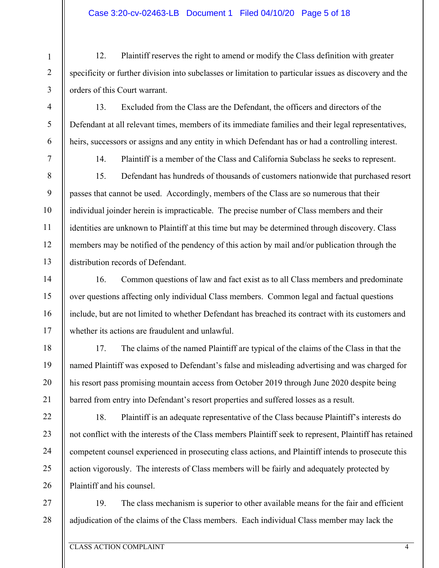## Case 3:20-cv-02463-LB Document 1 Filed 04/10/20 Page 5 of 18

12. Plaintiff reserves the right to amend or modify the Class definition with greater specificity or further division into subclasses or limitation to particular issues as discovery and the orders of this Court warrant.

13. Excluded from the Class are the Defendant, the officers and directors of the Defendant at all relevant times, members of its immediate families and their legal representatives, heirs, successors or assigns and any entity in which Defendant has or had a controlling interest.

1

2

3

4

5

6

7

8

9

10

11

12

13

14

15

16

17

18

19

20

21

22

23

24

25

26

14. Plaintiff is a member of the Class and California Subclass he seeks to represent.

15. Defendant has hundreds of thousands of customers nationwide that purchased resort passes that cannot be used. Accordingly, members of the Class are so numerous that their individual joinder herein is impracticable. The precise number of Class members and their identities are unknown to Plaintiff at this time but may be determined through discovery. Class members may be notified of the pendency of this action by mail and/or publication through the distribution records of Defendant.

16. Common questions of law and fact exist as to all Class members and predominate over questions affecting only individual Class members. Common legal and factual questions include, but are not limited to whether Defendant has breached its contract with its customers and whether its actions are fraudulent and unlawful.

17. The claims of the named Plaintiff are typical of the claims of the Class in that the named Plaintiff was exposed to Defendant's false and misleading advertising and was charged for his resort pass promising mountain access from October 2019 through June 2020 despite being barred from entry into Defendant's resort properties and suffered losses as a result.

18. Plaintiff is an adequate representative of the Class because Plaintiff's interests do not conflict with the interests of the Class members Plaintiff seek to represent, Plaintiff has retained competent counsel experienced in prosecuting class actions, and Plaintiff intends to prosecute this action vigorously. The interests of Class members will be fairly and adequately protected by Plaintiff and his counsel.

27 28 19. The class mechanism is superior to other available means for the fair and efficient adjudication of the claims of the Class members. Each individual Class member may lack the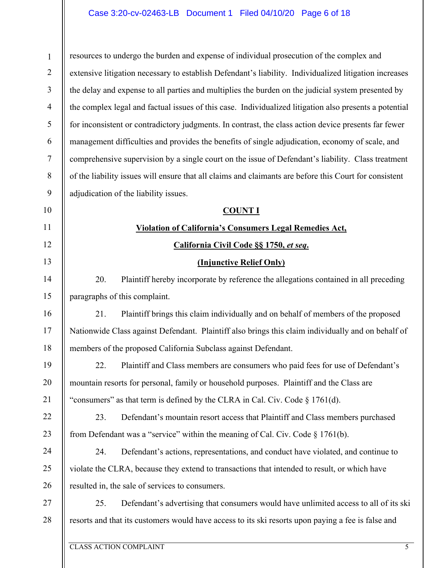## Case 3:20-cv-02463-LB Document 1 Filed 04/10/20 Page 6 of 18

1 2 3 4 5 6 7 8 9 10 resources to undergo the burden and expense of individual prosecution of the complex and extensive litigation necessary to establish Defendant's liability. Individualized litigation increases the delay and expense to all parties and multiplies the burden on the judicial system presented by the complex legal and factual issues of this case. Individualized litigation also presents a potential for inconsistent or contradictory judgments. In contrast, the class action device presents far fewer management difficulties and provides the benefits of single adjudication, economy of scale, and comprehensive supervision by a single court on the issue of Defendant's liability. Class treatment of the liability issues will ensure that all claims and claimants are before this Court for consistent adjudication of the liability issues. **COUNT I** 

## **Violation of California's Consumers Legal Remedies Act,**

## **California Civil Code §§ 1750,** *et seq***.**

## **(Injunctive Relief Only)**

20. Plaintiff hereby incorporate by reference the allegations contained in all preceding paragraphs of this complaint.

21. Plaintiff brings this claim individually and on behalf of members of the proposed Nationwide Class against Defendant. Plaintiff also brings this claim individually and on behalf of members of the proposed California Subclass against Defendant.

22. Plaintiff and Class members are consumers who paid fees for use of Defendant's mountain resorts for personal, family or household purposes. Plaintiff and the Class are "consumers" as that term is defined by the CLRA in Cal. Civ. Code § 1761(d).

22 23 23. Defendant's mountain resort access that Plaintiff and Class members purchased from Defendant was a "service" within the meaning of Cal. Civ. Code  $\S$  1761(b).

24. Defendant's actions, representations, and conduct have violated, and continue to violate the CLRA, because they extend to transactions that intended to result, or which have resulted in, the sale of services to consumers.

27 28 25. Defendant's advertising that consumers would have unlimited access to all of its ski resorts and that its customers would have access to its ski resorts upon paying a fee is false and

11

12

13

14

15

16

17

18

19

20

21

24

25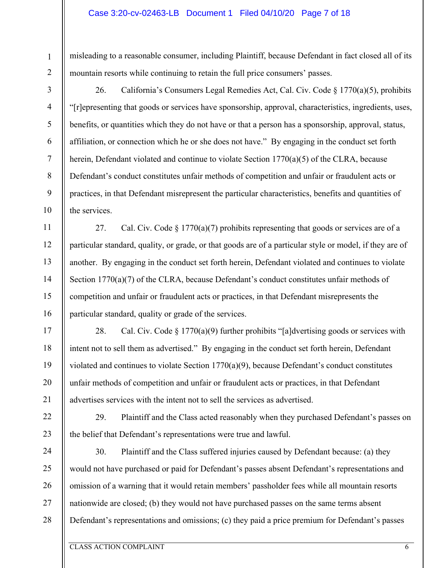#### Case 3:20-cv-02463-LB Document 1 Filed 04/10/20 Page 7 of 18

misleading to a reasonable consumer, including Plaintiff, because Defendant in fact closed all of its mountain resorts while continuing to retain the full price consumers' passes.

1

2

3

4

5

6

7

8

9

10

11

12

13

14

15

16

17

18

19

20

21

22

23

26. California's Consumers Legal Remedies Act, Cal. Civ. Code § 1770(a)(5), prohibits "[r]epresenting that goods or services have sponsorship, approval, characteristics, ingredients, uses, benefits, or quantities which they do not have or that a person has a sponsorship, approval, status, affiliation, or connection which he or she does not have." By engaging in the conduct set forth herein, Defendant violated and continue to violate Section 1770(a)(5) of the CLRA, because Defendant's conduct constitutes unfair methods of competition and unfair or fraudulent acts or practices, in that Defendant misrepresent the particular characteristics, benefits and quantities of the services.

27. Cal. Civ. Code  $\S 1770(a)(7)$  prohibits representing that goods or services are of a particular standard, quality, or grade, or that goods are of a particular style or model, if they are of another. By engaging in the conduct set forth herein, Defendant violated and continues to violate Section 1770(a)(7) of the CLRA, because Defendant's conduct constitutes unfair methods of competition and unfair or fraudulent acts or practices, in that Defendant misrepresents the particular standard, quality or grade of the services.

28. Cal. Civ. Code  $\S 1770(a)(9)$  further prohibits "[a]dvertising goods or services with intent not to sell them as advertised." By engaging in the conduct set forth herein, Defendant violated and continues to violate Section 1770(a)(9), because Defendant's conduct constitutes unfair methods of competition and unfair or fraudulent acts or practices, in that Defendant advertises services with the intent not to sell the services as advertised.

29. Plaintiff and the Class acted reasonably when they purchased Defendant's passes on the belief that Defendant's representations were true and lawful.

24 25 26 27 28 30. Plaintiff and the Class suffered injuries caused by Defendant because: (a) they would not have purchased or paid for Defendant's passes absent Defendant's representations and omission of a warning that it would retain members' passholder fees while all mountain resorts nationwide are closed; (b) they would not have purchased passes on the same terms absent Defendant's representations and omissions; (c) they paid a price premium for Defendant's passes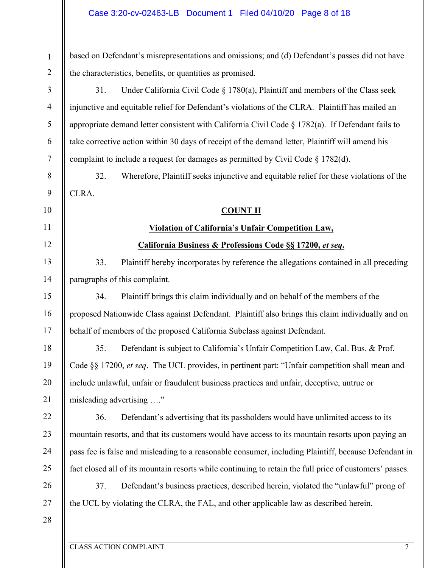#### Case 3:20-cv-02463-LB Document 1 Filed 04/10/20 Page 8 of 18

based on Defendant's misrepresentations and omissions; and (d) Defendant's passes did not have the characteristics, benefits, or quantities as promised.

31. Under California Civil Code § 1780(a), Plaintiff and members of the Class seek injunctive and equitable relief for Defendant's violations of the CLRA. Plaintiff has mailed an appropriate demand letter consistent with California Civil Code  $\S 1782(a)$ . If Defendant fails to take corrective action within 30 days of receipt of the demand letter, Plaintiff will amend his complaint to include a request for damages as permitted by Civil Code  $\S 1782(d)$ .

32. Wherefore, Plaintiff seeks injunctive and equitable relief for these violations of the CLRA.

#### **COUNT II**

#### **Violation of California's Unfair Competition Law,**

#### **California Business & Professions Code §§ 17200,** *et seq***.**

33. Plaintiff hereby incorporates by reference the allegations contained in all preceding paragraphs of this complaint.

34. Plaintiff brings this claim individually and on behalf of the members of the proposed Nationwide Class against Defendant. Plaintiff also brings this claim individually and on behalf of members of the proposed California Subclass against Defendant.

35. Defendant is subject to California's Unfair Competition Law, Cal. Bus. & Prof. Code §§ 17200, *et seq*. The UCL provides, in pertinent part: "Unfair competition shall mean and include unlawful, unfair or fraudulent business practices and unfair, deceptive, untrue or misleading advertising …."

36. Defendant's advertising that its passholders would have unlimited access to its mountain resorts, and that its customers would have access to its mountain resorts upon paying an pass fee is false and misleading to a reasonable consumer, including Plaintiff, because Defendant in fact closed all of its mountain resorts while continuing to retain the full price of customers' passes.

37. Defendant's business practices, described herein, violated the "unlawful" prong of the UCL by violating the CLRA, the FAL, and other applicable law as described herein.

28

1

2

3

4

5

6

7

8

9

10

11

12

13

14

15

16

17

18

19

20

21

22

23

24

25

26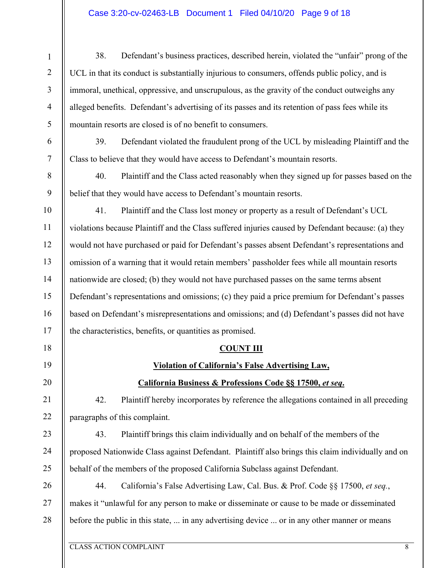## Case 3:20-cv-02463-LB Document 1 Filed 04/10/20 Page 9 of 18

38. Defendant's business practices, described herein, violated the "unfair" prong of the UCL in that its conduct is substantially injurious to consumers, offends public policy, and is immoral, unethical, oppressive, and unscrupulous, as the gravity of the conduct outweighs any alleged benefits. Defendant's advertising of its passes and its retention of pass fees while its mountain resorts are closed is of no benefit to consumers.

6 7 39. Defendant violated the fraudulent prong of the UCL by misleading Plaintiff and the Class to believe that they would have access to Defendant's mountain resorts.

40. Plaintiff and the Class acted reasonably when they signed up for passes based on the belief that they would have access to Defendant's mountain resorts.

10 11 12 13 14 15 16 17 41. Plaintiff and the Class lost money or property as a result of Defendant's UCL violations because Plaintiff and the Class suffered injuries caused by Defendant because: (a) they would not have purchased or paid for Defendant's passes absent Defendant's representations and omission of a warning that it would retain members' passholder fees while all mountain resorts nationwide are closed; (b) they would not have purchased passes on the same terms absent Defendant's representations and omissions; (c) they paid a price premium for Defendant's passes based on Defendant's misrepresentations and omissions; and (d) Defendant's passes did not have the characteristics, benefits, or quantities as promised.

## **COUNT III**

#### **Violation of California's False Advertising Law,**

## **California Business & Professions Code §§ 17500,** *et seq***.**

42. Plaintiff hereby incorporates by reference the allegations contained in all preceding paragraphs of this complaint.

43. Plaintiff brings this claim individually and on behalf of the members of the proposed Nationwide Class against Defendant. Plaintiff also brings this claim individually and on behalf of the members of the proposed California Subclass against Defendant.

26 27 28 44. California's False Advertising Law, Cal. Bus. & Prof. Code §§ 17500, *et seq.*, makes it "unlawful for any person to make or disseminate or cause to be made or disseminated before the public in this state, ... in any advertising device ... or in any other manner or means

1

2

3

4

5

8

9

18

19

20

21

22

23

24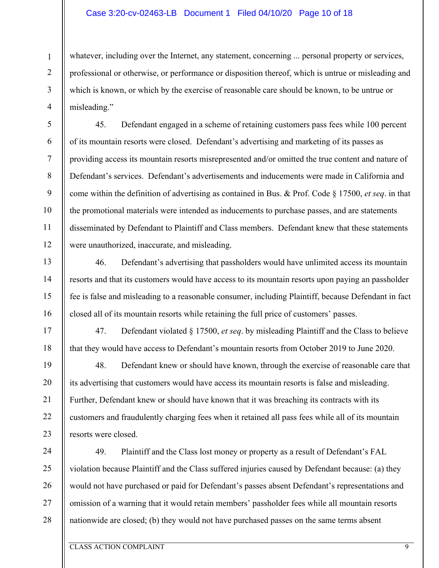#### Case 3:20-cv-02463-LB Document 1 Filed 04/10/20 Page 10 of 18

whatever, including over the Internet, any statement, concerning ... personal property or services, professional or otherwise, or performance or disposition thereof, which is untrue or misleading and which is known, or which by the exercise of reasonable care should be known, to be untrue or misleading."

45. Defendant engaged in a scheme of retaining customers pass fees while 100 percent of its mountain resorts were closed. Defendant's advertising and marketing of its passes as providing access its mountain resorts misrepresented and/or omitted the true content and nature of Defendant's services. Defendant's advertisements and inducements were made in California and come within the definition of advertising as contained in Bus. & Prof. Code § 17500, *et seq*. in that the promotional materials were intended as inducements to purchase passes, and are statements disseminated by Defendant to Plaintiff and Class members. Defendant knew that these statements were unauthorized, inaccurate, and misleading.

46. Defendant's advertising that passholders would have unlimited access its mountain resorts and that its customers would have access to its mountain resorts upon paying an passholder fee is false and misleading to a reasonable consumer, including Plaintiff, because Defendant in fact closed all of its mountain resorts while retaining the full price of customers' passes.

47. Defendant violated § 17500, *et seq*. by misleading Plaintiff and the Class to believe that they would have access to Defendant's mountain resorts from October 2019 to June 2020.

48. Defendant knew or should have known, through the exercise of reasonable care that its advertising that customers would have access its mountain resorts is false and misleading. Further, Defendant knew or should have known that it was breaching its contracts with its customers and fraudulently charging fees when it retained all pass fees while all of its mountain resorts were closed.

24 25 26 27 28 49. Plaintiff and the Class lost money or property as a result of Defendant's FAL violation because Plaintiff and the Class suffered injuries caused by Defendant because: (a) they would not have purchased or paid for Defendant's passes absent Defendant's representations and omission of a warning that it would retain members' passholder fees while all mountain resorts nationwide are closed; (b) they would not have purchased passes on the same terms absent

1

2

3

4

5

6

7

8

9

10

11

12

13

14

15

16

17

18

19

20

21

22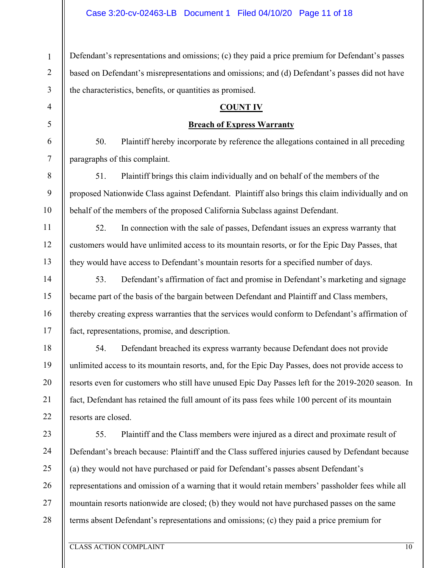1 2 3 Defendant's representations and omissions; (c) they paid a price premium for Defendant's passes based on Defendant's misrepresentations and omissions; and (d) Defendant's passes did not have the characteristics, benefits, or quantities as promised.

#### **COUNT IV**

#### **Breach of Express Warranty**

50. Plaintiff hereby incorporate by reference the allegations contained in all preceding paragraphs of this complaint.

51. Plaintiff brings this claim individually and on behalf of the members of the proposed Nationwide Class against Defendant. Plaintiff also brings this claim individually and on behalf of the members of the proposed California Subclass against Defendant.

52. In connection with the sale of passes, Defendant issues an express warranty that customers would have unlimited access to its mountain resorts, or for the Epic Day Passes, that they would have access to Defendant's mountain resorts for a specified number of days.

53. Defendant's affirmation of fact and promise in Defendant's marketing and signage became part of the basis of the bargain between Defendant and Plaintiff and Class members, thereby creating express warranties that the services would conform to Defendant's affirmation of fact, representations, promise, and description.

54. Defendant breached its express warranty because Defendant does not provide unlimited access to its mountain resorts, and, for the Epic Day Passes, does not provide access to resorts even for customers who still have unused Epic Day Passes left for the 2019-2020 season. In fact, Defendant has retained the full amount of its pass fees while 100 percent of its mountain resorts are closed.

23 24 25 26 27 28 55. Plaintiff and the Class members were injured as a direct and proximate result of Defendant's breach because: Plaintiff and the Class suffered injuries caused by Defendant because (a) they would not have purchased or paid for Defendant's passes absent Defendant's representations and omission of a warning that it would retain members' passholder fees while all mountain resorts nationwide are closed; (b) they would not have purchased passes on the same terms absent Defendant's representations and omissions; (c) they paid a price premium for

4

5

6

7

8

9

10

11

12

13

14

15

16

17

18

19

20

21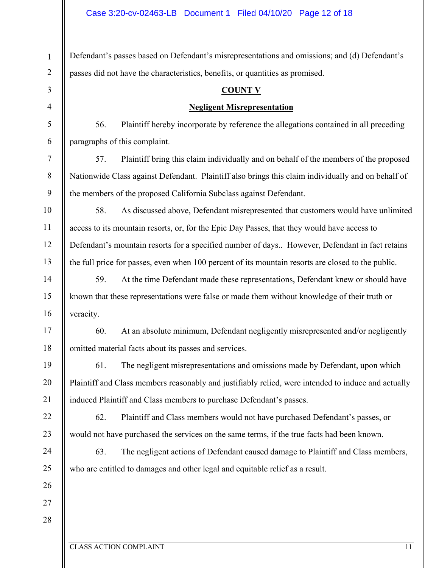1 2 3 4 5 6 7 8 9 10 11 12 13 14 15 16 17 18 19 20 21 22 23 24 25 26 27 28 Defendant's passes based on Defendant's misrepresentations and omissions; and (d) Defendant's passes did not have the characteristics, benefits, or quantities as promised. **COUNT V Negligent Misrepresentation** 56. Plaintiff hereby incorporate by reference the allegations contained in all preceding paragraphs of this complaint. 57. Plaintiff bring this claim individually and on behalf of the members of the proposed Nationwide Class against Defendant. Plaintiff also brings this claim individually and on behalf of the members of the proposed California Subclass against Defendant. 58. As discussed above, Defendant misrepresented that customers would have unlimited access to its mountain resorts, or, for the Epic Day Passes, that they would have access to Defendant's mountain resorts for a specified number of days.. However, Defendant in fact retains the full price for passes, even when 100 percent of its mountain resorts are closed to the public. 59. At the time Defendant made these representations, Defendant knew or should have known that these representations were false or made them without knowledge of their truth or veracity. 60. At an absolute minimum, Defendant negligently misrepresented and/or negligently omitted material facts about its passes and services. 61. The negligent misrepresentations and omissions made by Defendant, upon which Plaintiff and Class members reasonably and justifiably relied, were intended to induce and actually induced Plaintiff and Class members to purchase Defendant's passes. 62. Plaintiff and Class members would not have purchased Defendant's passes, or would not have purchased the services on the same terms, if the true facts had been known. 63. The negligent actions of Defendant caused damage to Plaintiff and Class members, who are entitled to damages and other legal and equitable relief as a result.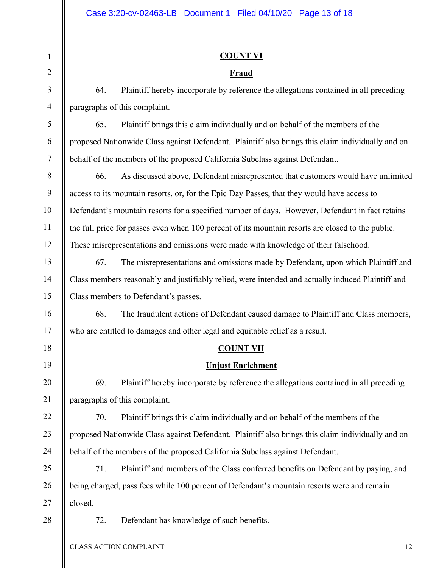## **COUNT VI**

#### **Fraud**

64. Plaintiff hereby incorporate by reference the allegations contained in all preceding paragraphs of this complaint.

65. Plaintiff brings this claim individually and on behalf of the members of the proposed Nationwide Class against Defendant. Plaintiff also brings this claim individually and on behalf of the members of the proposed California Subclass against Defendant.

66. As discussed above, Defendant misrepresented that customers would have unlimited access to its mountain resorts, or, for the Epic Day Passes, that they would have access to Defendant's mountain resorts for a specified number of days. However, Defendant in fact retains the full price for passes even when 100 percent of its mountain resorts are closed to the public. These misrepresentations and omissions were made with knowledge of their falsehood.

67. The misrepresentations and omissions made by Defendant, upon which Plaintiff and Class members reasonably and justifiably relied, were intended and actually induced Plaintiff and Class members to Defendant's passes.

68. The fraudulent actions of Defendant caused damage to Plaintiff and Class members, who are entitled to damages and other legal and equitable relief as a result.

## **COUNT VII**

## **Unjust Enrichment**

69. Plaintiff hereby incorporate by reference the allegations contained in all preceding paragraphs of this complaint.

70. Plaintiff brings this claim individually and on behalf of the members of the proposed Nationwide Class against Defendant. Plaintiff also brings this claim individually and on behalf of the members of the proposed California Subclass against Defendant.

25 26 27 71. Plaintiff and members of the Class conferred benefits on Defendant by paying, and being charged, pass fees while 100 percent of Defendant's mountain resorts were and remain closed.

28

1

2

3

4

5

6

7

8

9

10

11

12

13

14

15

16

17

18

19

20

21

22

23

24

72. Defendant has knowledge of such benefits.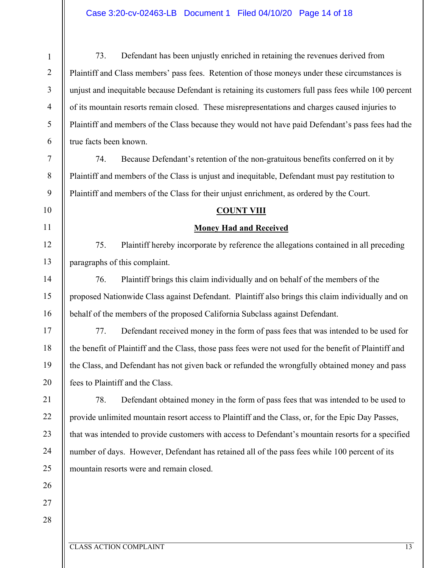#### Case 3:20-cv-02463-LB Document 1 Filed 04/10/20 Page 14 of 18

CLASS ACTION COMPLAINT 13 1 2 3 4 5 6 7 8 9 10 11 12 13 14 15 16 17 18 19 20 21 22 23 24 25 26 27 28 73. Defendant has been unjustly enriched in retaining the revenues derived from Plaintiff and Class members' pass fees. Retention of those moneys under these circumstances is unjust and inequitable because Defendant is retaining its customers full pass fees while 100 percent of its mountain resorts remain closed. These misrepresentations and charges caused injuries to Plaintiff and members of the Class because they would not have paid Defendant's pass fees had the true facts been known. 74. Because Defendant's retention of the non-gratuitous benefits conferred on it by Plaintiff and members of the Class is unjust and inequitable, Defendant must pay restitution to Plaintiff and members of the Class for their unjust enrichment, as ordered by the Court. **COUNT VIII Money Had and Received**  75. Plaintiff hereby incorporate by reference the allegations contained in all preceding paragraphs of this complaint. 76. Plaintiff brings this claim individually and on behalf of the members of the proposed Nationwide Class against Defendant. Plaintiff also brings this claim individually and on behalf of the members of the proposed California Subclass against Defendant. 77. Defendant received money in the form of pass fees that was intended to be used for the benefit of Plaintiff and the Class, those pass fees were not used for the benefit of Plaintiff and the Class, and Defendant has not given back or refunded the wrongfully obtained money and pass fees to Plaintiff and the Class. 78. Defendant obtained money in the form of pass fees that was intended to be used to provide unlimited mountain resort access to Plaintiff and the Class, or, for the Epic Day Passes, that was intended to provide customers with access to Defendant's mountain resorts for a specified number of days. However, Defendant has retained all of the pass fees while 100 percent of its mountain resorts were and remain closed.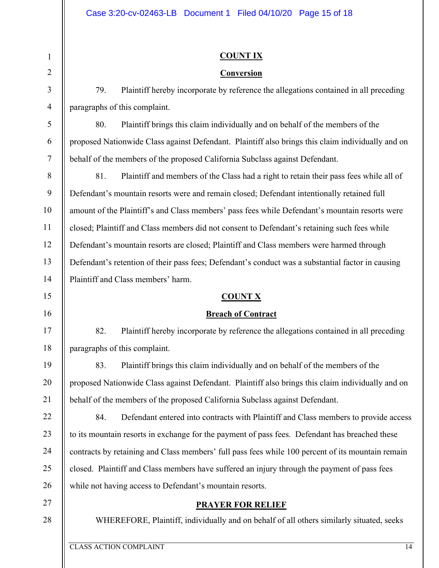#### **COUNT IX**

#### **Conversion**

79. Plaintiff hereby incorporate by reference the allegations contained in all preceding paragraphs of this complaint.

80. Plaintiff brings this claim individually and on behalf of the members of the proposed Nationwide Class against Defendant. Plaintiff also brings this claim individually and on behalf of the members of the proposed California Subclass against Defendant.

8 9 10 11 12 13 14 81. Plaintiff and members of the Class had a right to retain their pass fees while all of Defendant's mountain resorts were and remain closed; Defendant intentionally retained full amount of the Plaintiff's and Class members' pass fees while Defendant's mountain resorts were closed; Plaintiff and Class members did not consent to Defendant's retaining such fees while Defendant's mountain resorts are closed; Plaintiff and Class members were harmed through Defendant's retention of their pass fees; Defendant's conduct was a substantial factor in causing Plaintiff and Class members' harm.

#### **COUNT X**

#### **Breach of Contract**

82. Plaintiff hereby incorporate by reference the allegations contained in all preceding paragraphs of this complaint.

83. Plaintiff brings this claim individually and on behalf of the members of the proposed Nationwide Class against Defendant. Plaintiff also brings this claim individually and on behalf of the members of the proposed California Subclass against Defendant.

84. Defendant entered into contracts with Plaintiff and Class members to provide access to its mountain resorts in exchange for the payment of pass fees. Defendant has breached these contracts by retaining and Class members' full pass fees while 100 percent of its mountain remain closed. Plaintiff and Class members have suffered an injury through the payment of pass fees while not having access to Defendant's mountain resorts.

## **PRAYER FOR RELIEF**

WHEREFORE, Plaintiff, individually and on behalf of all others similarly situated, seeks

1

2

3

4

5

6

7

15

16

17

18

19

20

21

22

23

24

25

26

27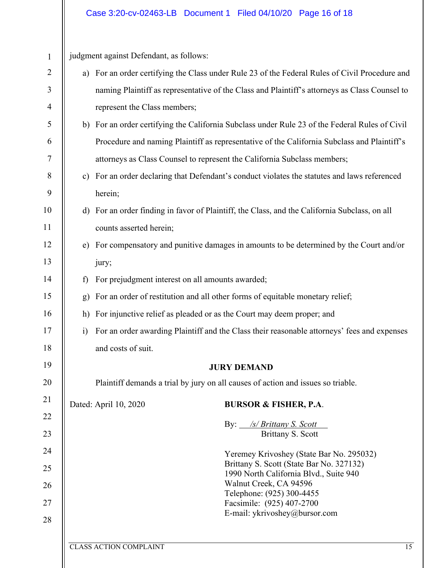#### Case 3:20-cv-02463-LB Document 1 Filed 04/10/20 Page 16 of 18

CLASS ACTION COMPLAINT 15 1 2 3 4 5 6 7 8 9 10 11 12 13 14 15 16 17 18 19 20 21 22 23 24 25 26 27 28 judgment against Defendant, as follows: a) For an order certifying the Class under Rule 23 of the Federal Rules of Civil Procedure and naming Plaintiff as representative of the Class and Plaintiff's attorneys as Class Counsel to represent the Class members; b) For an order certifying the California Subclass under Rule 23 of the Federal Rules of Civil Procedure and naming Plaintiff as representative of the California Subclass and Plaintiff's attorneys as Class Counsel to represent the California Subclass members; c) For an order declaring that Defendant's conduct violates the statutes and laws referenced herein; d) For an order finding in favor of Plaintiff, the Class, and the California Subclass, on all counts asserted herein; e) For compensatory and punitive damages in amounts to be determined by the Court and/or jury; f) For prejudgment interest on all amounts awarded; g) For an order of restitution and all other forms of equitable monetary relief; h) For injunctive relief as pleaded or as the Court may deem proper; and i) For an order awarding Plaintiff and the Class their reasonable attorneys' fees and expenses and costs of suit. **JURY DEMAND**  Plaintiff demands a trial by jury on all causes of action and issues so triable. Dated: April 10, 2020 **BURSOR & FISHER, P.A**. By: */s/ Brittany S. Scott*  Brittany S. Scott Yeremey Krivoshey (State Bar No. 295032) Brittany S. Scott (State Bar No. 327132) 1990 North California Blvd., Suite 940 Walnut Creek, CA 94596 Telephone: (925) 300-4455 Facsimile: (925) 407-2700 E-mail: ykrivoshey@bursor.com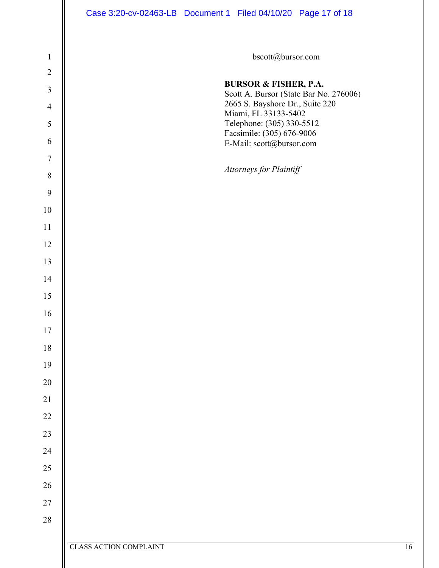|                  | Case 3:20-cv-02463-LB  Document 1  Filed 04/10/20  Page 17 of 18           |    |
|------------------|----------------------------------------------------------------------------|----|
| $\mathbf 1$      | bscott@bursor.com                                                          |    |
| $\overline{2}$   |                                                                            |    |
| $\mathfrak{Z}$   | <b>BURSOR &amp; FISHER, P.A.</b><br>Scott A. Bursor (State Bar No. 276006) |    |
| $\overline{4}$   | 2665 S. Bayshore Dr., Suite 220<br>Miami, FL 33133-5402                    |    |
| $\mathfrak s$    | Telephone: (305) 330-5512<br>Facsimile: (305) 676-9006                     |    |
| 6                | E-Mail: scott@bursor.com                                                   |    |
| $\boldsymbol{7}$ |                                                                            |    |
| $\, 8$           | Attorneys for Plaintiff                                                    |    |
| 9                |                                                                            |    |
| 10               |                                                                            |    |
| 11               |                                                                            |    |
| 12               |                                                                            |    |
| 13               |                                                                            |    |
| 14               |                                                                            |    |
| 15               |                                                                            |    |
| 16               |                                                                            |    |
| $17\,$           |                                                                            |    |
| $18\,$           |                                                                            |    |
| 19               |                                                                            |    |
| $20\,$           |                                                                            |    |
| $21\,$           |                                                                            |    |
| $22\,$           |                                                                            |    |
| $23\,$           |                                                                            |    |
| 24               |                                                                            |    |
| $25\,$           |                                                                            |    |
| $26\,$           |                                                                            |    |
| $27\,$           |                                                                            |    |
| $28\,$           |                                                                            |    |
|                  | <b>CLASS ACTION COMPLAINT</b>                                              | 16 |
|                  |                                                                            |    |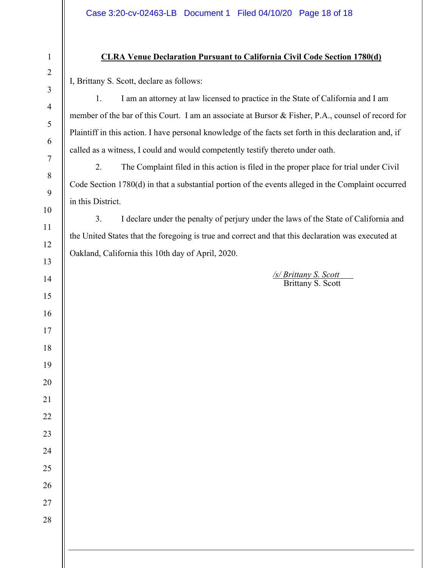## **CLRA Venue Declaration Pursuant to California Civil Code Section 1780(d)**

I, Brittany S. Scott, declare as follows:

1. I am an attorney at law licensed to practice in the State of California and I am member of the bar of this Court. I am an associate at Bursor & Fisher, P.A., counsel of record for Plaintiff in this action. I have personal knowledge of the facts set forth in this declaration and, if called as a witness, I could and would competently testify thereto under oath.

2. The Complaint filed in this action is filed in the proper place for trial under Civil Code Section 1780(d) in that a substantial portion of the events alleged in the Complaint occurred in this District.

3. I declare under the penalty of perjury under the laws of the State of California and the United States that the foregoing is true and correct and that this declaration was executed at Oakland, California this 10th day of April, 2020.

> */s/ Brittany S. Scott*  Brittany S. Scott